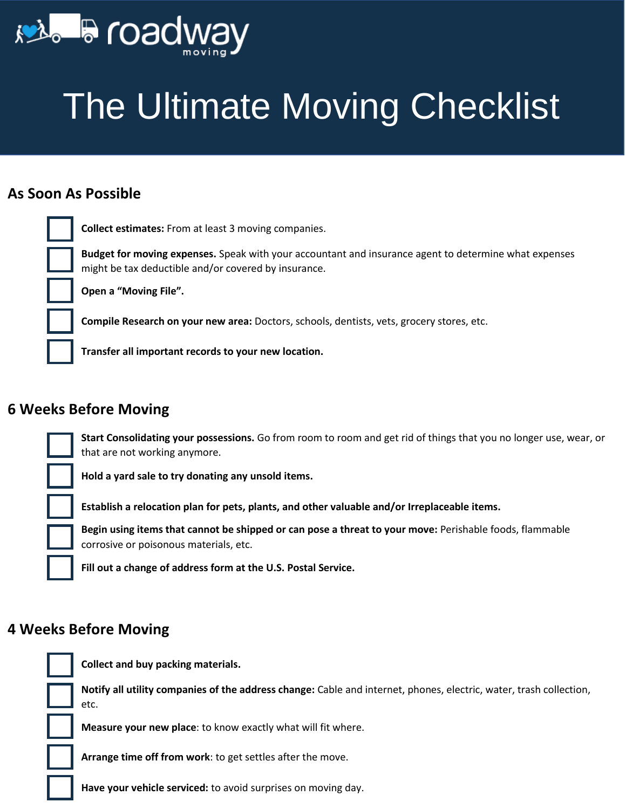

**Roadway Moving**

## The Ultimate Moving Checklist

#### **As Soon As Possible**

**Collect estimates:** From at least 3 moving companies.

**Budget for moving expenses.** Speak with your accountant and insurance agent to determine what expenses might be tax deductible and/or covered by insurance.

**Open a "Moving File".**

**Compile Research on your new area:** Doctors, schools, dentists, vets, grocery stores, etc.

**Transfer all important records to your new location.**

**Hold a yard sale to try donating any unsold items.**

#### **6 Weeks Before Moving**



**Establish a relocation plan for pets, plants, and other valuable and/or Irreplaceable items.**

**Begin using items that cannot be shipped or can pose a threat to your move:** Perishable foods, flammable corrosive or poisonous materials, etc.

**Fill out a change of address form at the U.S. Postal Service.**

#### **4 Weeks Before Moving**



**Collect and buy packing materials.**

**Notify all utility companies of the address change:** Cable and internet, phones, electric, water, trash collection, etc.

**Measure your new place**: to know exactly what will fit where.

**Arrange time off from work**: to get settles after the move.

**Have your vehicle serviced:** to avoid surprises on moving day.